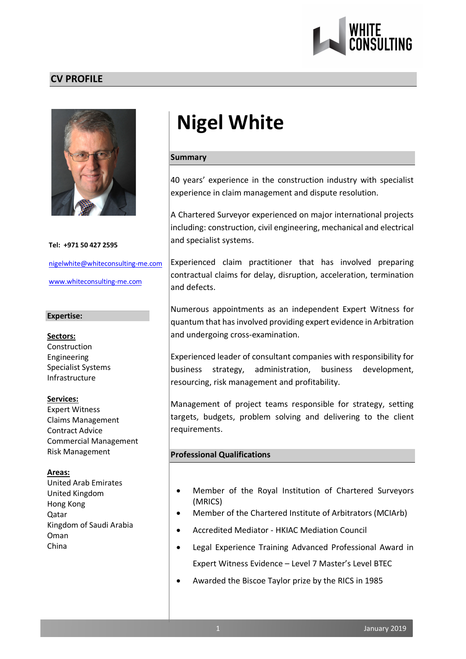

## **CV PROFILE**



**Tel: +971 50 427 2595** nigelwhite@whiteconsulting-me.com www.whiteconsulting-me.com

#### **Expertise:**

**Sectors:** Construction Engineering Specialist Systems Infrastructure

#### **Services:**

Expert Witness Claims Management Contract Advice Commercial Management Risk Management

#### **Areas:**

United Arab Emirates United Kingdom Hong Kong Qatar Kingdom of Saudi Arabia Oman China

# **Nigel White**

#### **Summary**

40 years' experience in the construction industry with specialist experience in claim management and dispute resolution.

A Chartered Surveyor experienced on major international projects including: construction, civil engineering, mechanical and electrical and specialist systems.

Experienced claim practitioner that has involved preparing contractual claims for delay, disruption, acceleration, termination and defects.

Numerous appointments as an independent Expert Witness for quantum that has involved providing expert evidence in Arbitration and undergoing cross-examination.

Experienced leader of consultant companies with responsibility for business strategy, administration, business development, resourcing, risk management and profitability.

Management of project teams responsible for strategy, setting targets, budgets, problem solving and delivering to the client requirements.

## **Professional Qualifications**

- Member of the Royal Institution of Chartered Surveyors (MRICS)
- Member of the Chartered Institute of Arbitrators (MCIArb)
- Accredited Mediator HKIAC Mediation Council
- Legal Experience Training Advanced Professional Award in Expert Witness Evidence – Level 7 Master's Level BTEC
- Awarded the Biscoe Taylor prize by the RICS in 1985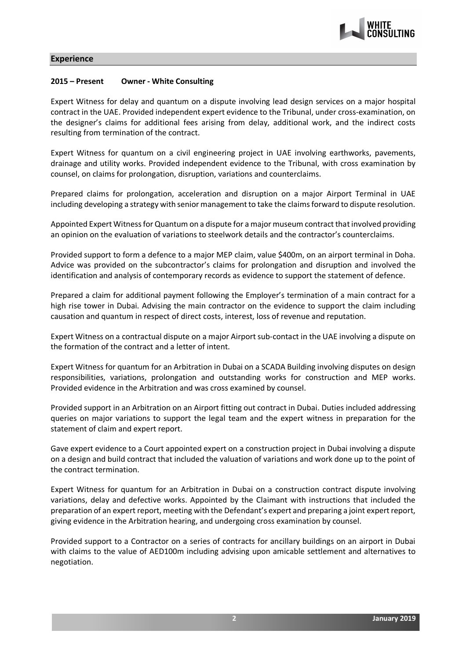

#### **Experience**

#### **2015 – Present Owner - White Consulting**

Expert Witness for delay and quantum on a dispute involving lead design services on a major hospital contract in the UAE. Provided independent expert evidence to the Tribunal, under cross-examination, on the designer's claims for additional fees arising from delay, additional work, and the indirect costs resulting from termination of the contract.

Expert Witness for quantum on a civil engineering project in UAE involving earthworks, pavements, drainage and utility works. Provided independent evidence to the Tribunal, with cross examination by counsel, on claims for prolongation, disruption, variations and counterclaims.

Prepared claims for prolongation, acceleration and disruption on a major Airport Terminal in UAE including developing a strategy with senior management to take the claims forward to dispute resolution.

Appointed Expert Witness for Quantum on a dispute for a major museum contract that involved providing an opinion on the evaluation of variations to steelwork details and the contractor's counterclaims.

Provided support to form a defence to a major MEP claim, value \$400m, on an airport terminal in Doha. Advice was provided on the subcontractor's claims for prolongation and disruption and involved the identification and analysis of contemporary records as evidence to support the statement of defence.

Prepared a claim for additional payment following the Employer's termination of a main contract for a high rise tower in Dubai. Advising the main contractor on the evidence to support the claim including causation and quantum in respect of direct costs, interest, loss of revenue and reputation.

Expert Witness on a contractual dispute on a major Airport sub-contact in the UAE involving a dispute on the formation of the contract and a letter of intent.

Expert Witness for quantum for an Arbitration in Dubai on a SCADA Building involving disputes on design responsibilities, variations, prolongation and outstanding works for construction and MEP works. Provided evidence in the Arbitration and was cross examined by counsel.

Provided support in an Arbitration on an Airport fitting out contract in Dubai. Duties included addressing queries on major variations to support the legal team and the expert witness in preparation for the statement of claim and expert report.

Gave expert evidence to a Court appointed expert on a construction project in Dubai involving a dispute on a design and build contract that included the valuation of variations and work done up to the point of the contract termination.

Expert Witness for quantum for an Arbitration in Dubai on a construction contract dispute involving variations, delay and defective works. Appointed by the Claimant with instructions that included the preparation of an expert report, meeting with the Defendant's expert and preparing a joint expert report, giving evidence in the Arbitration hearing, and undergoing cross examination by counsel.

Provided support to a Contractor on a series of contracts for ancillary buildings on an airport in Dubai with claims to the value of AED100m including advising upon amicable settlement and alternatives to negotiation.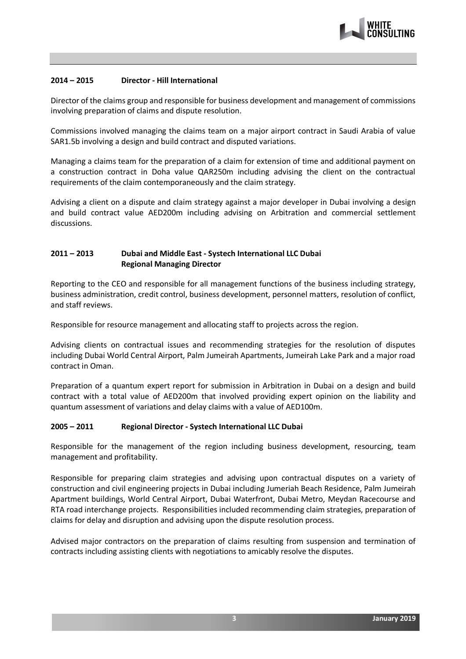

#### **2014 – 2015 Director - Hill International**

Director of the claims group and responsible for business development and management of commissions involving preparation of claims and dispute resolution.

Commissions involved managing the claims team on a major airport contract in Saudi Arabia of value SAR1.5b involving a design and build contract and disputed variations.

Managing a claims team for the preparation of a claim for extension of time and additional payment on a construction contract in Doha value QAR250m including advising the client on the contractual requirements of the claim contemporaneously and the claim strategy.

Advising a client on a dispute and claim strategy against a major developer in Dubai involving a design and build contract value AED200m including advising on Arbitration and commercial settlement discussions.

## **2011 – 2013 Dubai and Middle East - Systech International LLC Dubai Regional Managing Director**

Reporting to the CEO and responsible for all management functions of the business including strategy, business administration, credit control, business development, personnel matters, resolution of conflict, and staff reviews.

Responsible for resource management and allocating staff to projects across the region.

Advising clients on contractual issues and recommending strategies for the resolution of disputes including Dubai World Central Airport, Palm Jumeirah Apartments, Jumeirah Lake Park and a major road contract in Oman.

Preparation of a quantum expert report for submission in Arbitration in Dubai on a design and build contract with a total value of AED200m that involved providing expert opinion on the liability and quantum assessment of variations and delay claims with a value of AED100m.

#### **2005 – 2011 Regional Director - Systech International LLC Dubai**

Responsible for the management of the region including business development, resourcing, team management and profitability.

Responsible for preparing claim strategies and advising upon contractual disputes on a variety of construction and civil engineering projects in Dubai including Jumeriah Beach Residence, Palm Jumeirah Apartment buildings, World Central Airport, Dubai Waterfront, Dubai Metro, Meydan Racecourse and RTA road interchange projects. Responsibilities included recommending claim strategies, preparation of claims for delay and disruption and advising upon the dispute resolution process.

Advised major contractors on the preparation of claims resulting from suspension and termination of contracts including assisting clients with negotiations to amicably resolve the disputes.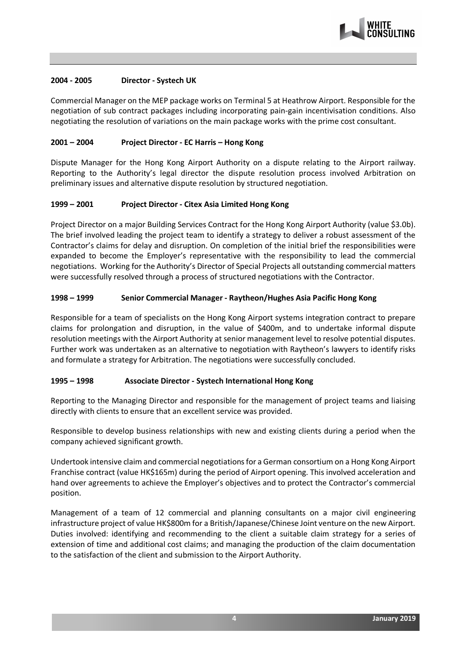

#### **2004 - 2005 Director - Systech UK**

Commercial Manager on the MEP package works on Terminal 5 at Heathrow Airport. Responsible for the negotiation of sub contract packages including incorporating pain-gain incentivisation conditions. Also negotiating the resolution of variations on the main package works with the prime cost consultant.

## **2001 – 2004 Project Director - EC Harris – Hong Kong**

Dispute Manager for the Hong Kong Airport Authority on a dispute relating to the Airport railway. Reporting to the Authority's legal director the dispute resolution process involved Arbitration on preliminary issues and alternative dispute resolution by structured negotiation.

## **1999 – 2001 Project Director - Citex Asia Limited Hong Kong**

Project Director on a major Building Services Contract for the Hong Kong Airport Authority (value \$3.0b). The brief involved leading the project team to identify a strategy to deliver a robust assessment of the Contractor's claims for delay and disruption. On completion of the initial brief the responsibilities were expanded to become the Employer's representative with the responsibility to lead the commercial negotiations. Working for the Authority's Director of Special Projects all outstanding commercial matters were successfully resolved through a process of structured negotiations with the Contractor.

## **1998 – 1999 Senior Commercial Manager - Raytheon/Hughes Asia Pacific Hong Kong**

Responsible for a team of specialists on the Hong Kong Airport systems integration contract to prepare claims for prolongation and disruption, in the value of \$400m, and to undertake informal dispute resolution meetings with the Airport Authority at senior management level to resolve potential disputes. Further work was undertaken as an alternative to negotiation with Raytheon's lawyers to identify risks and formulate a strategy for Arbitration. The negotiations were successfully concluded.

#### **1995 – 1998 Associate Director - Systech International Hong Kong**

Reporting to the Managing Director and responsible for the management of project teams and liaising directly with clients to ensure that an excellent service was provided.

Responsible to develop business relationships with new and existing clients during a period when the company achieved significant growth.

Undertook intensive claim and commercial negotiations for a German consortium on a Hong Kong Airport Franchise contract (value HK\$165m) during the period of Airport opening. This involved acceleration and hand over agreements to achieve the Employer's objectives and to protect the Contractor's commercial position.

Management of a team of 12 commercial and planning consultants on a major civil engineering infrastructure project of value HK\$800m for a British/Japanese/Chinese Joint venture on the new Airport. Duties involved: identifying and recommending to the client a suitable claim strategy for a series of extension of time and additional cost claims; and managing the production of the claim documentation to the satisfaction of the client and submission to the Airport Authority.